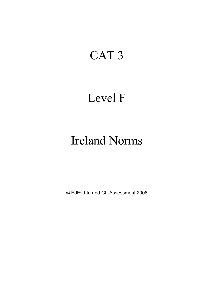# CAT 3

### Level F

# Ireland Norms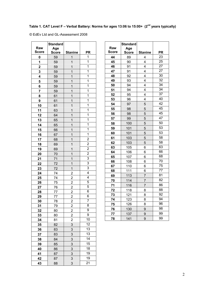### **Table 1. CAT Level F – Verbal Battery: Norms for ages 13:06 to 15:00+ (2nd years typically)**

|                         | <b>Standard</b> |                         |                         |
|-------------------------|-----------------|-------------------------|-------------------------|
| Raw                     | Age             |                         |                         |
| <b>Score</b>            | <b>Score</b>    | <b>Stanine</b>          | PR                      |
| $\bf{0}$                | 59              | 1                       | 1                       |
| 1                       | 59              | $\overline{1}$          | 1                       |
| $\overline{\mathbf{2}}$ | 59              | 1                       | 1                       |
| 3                       | 59              | 1                       | 1                       |
| 4                       | 59              | 1                       | 1                       |
| 5                       | 59              | 1                       | 1                       |
| 6                       | 59              | $\overline{1}$          | 1                       |
| 7                       | 59              | 1                       | 1                       |
| 8                       | 61              | 1                       | 1                       |
| 9                       | 61              | $\overline{1}$          | 1                       |
| 10                      | 61              | 1                       | 1                       |
| 11                      | 63              | 1                       | 1                       |
| 12                      | 64              | 1                       | 1                       |
| 13                      | 65              | $\overline{1}$          | 1                       |
| 14                      | 65              | 1                       | 1                       |
| 15                      | 66              | 1                       | 1                       |
| 16                      | 67              | $\overline{1}$          | 1                       |
| 17                      | 68              | 1                       | $\overline{c}$          |
| 18                      | 69              | 1                       | $\overline{2}$          |
| 19                      | 69              | $\overline{1}$          | $\overline{2}$          |
| 20                      | 70              | 1                       | $\overline{2}$          |
| 21                      | 71              | $\overline{1}$          | 3                       |
| 22                      | 72              | 1                       | 3                       |
| 23                      | 72              | $\mathbf{1}$            | 3                       |
| 24                      | 74              | $\overline{2}$          | $\overline{\mathbf{4}}$ |
| 25                      | 74              | $\overline{2}$          | $\overline{4}$          |
| 26                      | 75              | $\overline{c}$          | 5                       |
| 27                      | 76              | $\overline{\mathbf{c}}$ | 5                       |
| 28                      | 77              | $\overline{c}$          | 6                       |
| 29                      | 77              | 2                       | 6                       |
| 30                      | 78              | $\overline{2}$          | $\overline{7}$          |
| 31                      | 79              | $\overline{2}$          | 8                       |
| 32                      | 80              | $\overline{2}$          | 9                       |
| 33                      | 80              | $\overline{c}$          | 9                       |
| 34                      | 81              | $\overline{\mathbf{c}}$ | 10                      |
| 35                      | 82              | 3                       | 12                      |
| 36                      | 83              | 3                       | 13                      |
| 37                      | 83              | 3                       | 13                      |
| 38                      | 84              | 3                       | 14                      |
| 39                      | 85              | 3                       | 15                      |
| 40                      | 86              | 3                       | 18                      |
| 41                      | 87              | $\overline{3}$          | 19                      |
| 42                      | 87              | 3                       | 19                      |
| 43                      | 88              | 3                       | 21                      |

| Raw<br><b>Score</b> | <b>Standard</b><br>Age<br><b>Score</b> | <b>Stanine</b> | <b>PR</b> |
|---------------------|----------------------------------------|----------------|-----------|
| 44                  | 89                                     | 4              | 23        |
| 45                  | 90                                     | 4              | 25        |
| 46                  | 91                                     | 4              | 27        |
| 47                  | 91                                     | 4              | 27        |
| 48                  | 92                                     | 4              | 30        |
| 49                  | 93                                     | 4              | 32        |
| 50                  | 94                                     | 4              | 34        |
| 51                  | 94                                     | 4              | 34        |
| 52                  | 95                                     | 4              | 37        |
| 53                  | 96                                     | 4              | 40        |
| 54                  | 97                                     | 5              | 42        |
| 55                  | 98                                     | 5              | 45        |
| 56                  | 98                                     | 5              | 45        |
| 57                  | 99                                     | 5              | 47        |
| 58                  | 100                                    | 5              | 50        |
| 59                  | 101                                    | 5              | 53        |
| 60                  | 101                                    | 5              | 53        |
| 61                  | 103                                    | 5              | 58        |
| 62                  | 103                                    | 5              | 58        |
| 63                  | 105                                    | 6              | 63        |
| 64                  | 106                                    | 6              | 66        |
| 65                  | 107                                    | 6              | 68        |
| 66                  | 108                                    | 6              | 70        |
| 67                  | 110                                    | 6              | 75        |
| 68                  | 111                                    | 6              | 77        |
| 69                  | 113                                    | $\overline{7}$ | 81        |
| 70                  | 114                                    | $\overline{7}$ | 82        |
| 71                  | 116                                    | 7              | 86        |
| 72                  | 118                                    | 8              | 88        |
| 73                  | 121                                    | 8              | 92        |
| 74                  | 123                                    | 8              | 94        |
| 75                  | 126                                    | 8              | 96        |
| 76                  | 130                                    | 9              | 98        |
| 77                  | 137                                    | 9              | 99        |
| 78                  | 141                                    | 9              | 99        |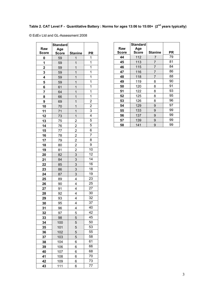### **Table 2. CAT Level F - Quantitative Battery : Norms for ages 13:06 to 15:00+ (2nd years typically)**

|                | <b>Standard</b> |                         |                                  |
|----------------|-----------------|-------------------------|----------------------------------|
| Raw            | Age             |                         |                                  |
| <b>Score</b>   | <b>Score</b>    | <b>Stanine</b>          | PR<br>$\mathbf{1}$               |
| 0              | 59              | $\overline{1}$          | $\overline{1}$                   |
| 1              | 59              | 1                       | $\overline{1}$                   |
| $\overline{2}$ | 59              | 1                       | $\mathbf{1}$                     |
| 3              | 59              | 1                       |                                  |
| 4              | 59              | 1                       | $\mathbf{1}$<br>$\mathbf{1}$     |
| 5              | 59              | 1                       | $\mathbf{1}$                     |
| 6              | 61              | 1                       |                                  |
| 7              | 64              | 1                       | $\overline{\mathbf{1}}$          |
| 8              | 66              | 1                       | $\mathbf{1}$                     |
| 9              | 69              | $\overline{1}$          | $\overline{\mathbf{c}}$          |
| 10             | 70              | $\overline{1}$          | $\overline{\mathbf{c}}$          |
| 11             | 71              | 1                       | 3                                |
| 12             | 73              | $\mathbf{1}$            | $\overline{4}$                   |
| 13             | 75              | $\overline{\mathbf{c}}$ | 5                                |
| 14             | 76              | $\overline{2}$          | 5                                |
| 15             | 77              | $\overline{2}$          | $\overline{6}$<br>$\overline{7}$ |
| 16             | 78              | $\overline{2}$          |                                  |
| 17             | 79              | $\overline{2}$          | 8                                |
| 18             | 80              | $\overline{2}$          | 9                                |
| 19             | 81              | $\overline{c}$          | 10                               |
| 20             | 82              | $\overline{3}$          | 12                               |
| 21             | 84              | 3                       | 14                               |
| 22             | 85              | $\overline{3}$          | 16                               |
| 23             | 86              | 3                       | 18                               |
| 24             | 87              | 3                       | 19                               |
| 25             | 89              | 4                       | 23                               |
| 26             | 90              | 4                       | 25                               |
| 27             | 91              | $\overline{4}$          | 27                               |
| 28             | 92              | 4                       | 30                               |
| 29             | 93              | 4                       | 32                               |
| 30             | 95              | 4                       | 37                               |
| 31             | 96              | 4                       | 40                               |
| 32             | 97              | 5                       | 42                               |
| 33             | 98              | 5                       | 45                               |
| 34             | 100             | 5                       | 50                               |
| 35             | 101             | 5                       | 53                               |
| 36             | 102             | 5                       | 55                               |
| 37             | 103             | 5                       | 58                               |
| 38             | 104             | 6                       | 61                               |
| 39             | 106             | 6                       | 66                               |
| 40             | 107             | 6                       | 68                               |
| 41             | 108             | 6                       | 70                               |
| 42             | 109             | 6                       | 73                               |
| 43             | 111             | 6                       | 77                               |

| Raw<br><b>Score</b> | <b>Standard</b><br>Age<br>Score | Stanine | PR |
|---------------------|---------------------------------|---------|----|
| 44                  | 112                             | 7       | 79 |
| 45                  | 113                             | 7       | 81 |
| 46                  | 115                             | 7       | 84 |
| 47                  | 116                             | 7       | 86 |
| 48                  | 118                             | 7       | 88 |
| 49                  | 119                             | 8       | 90 |
| 50                  | 120                             | 8       | 91 |
| 51                  | 122                             | 8       | 93 |
| 52                  | 125                             | 8       | 95 |
| 53                  | 126                             | 8       | 96 |
| 54                  | 129                             | 9       | 97 |
| 55                  | 133                             | 9       | 99 |
| 56                  | 137                             | 9       | 99 |
| 57                  | 139                             | 9       | 99 |
| 58                  | 141                             | 9       | 99 |